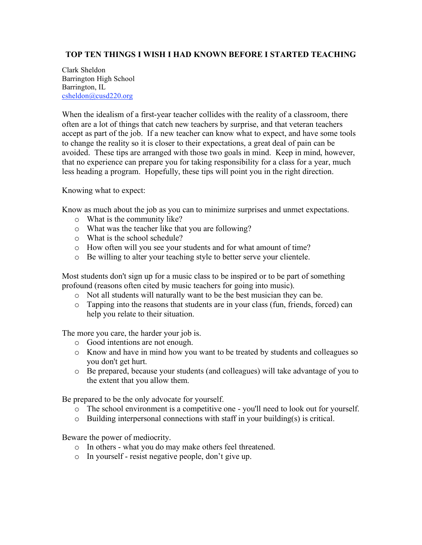## **TOP TEN THINGS I WISH I HAD KNOWN BEFORE I STARTED TEACHING**

Clark Sheldon Barrington High School Barrington, IL csheldon@cusd220.org

When the idealism of a first-year teacher collides with the reality of a classroom, there often are a lot of things that catch new teachers by surprise, and that veteran teachers accept as part of the job. If a new teacher can know what to expect, and have some tools to change the reality so it is closer to their expectations, a great deal of pain can be avoided. These tips are arranged with those two goals in mind. Keep in mind, however, that no experience can prepare you for taking responsibility for a class for a year, much less heading a program. Hopefully, these tips will point you in the right direction.

Knowing what to expect:

Know as much about the job as you can to minimize surprises and unmet expectations.

- o What is the community like?
- o What was the teacher like that you are following?
- o What is the school schedule?
- o How often will you see your students and for what amount of time?
- o Be willing to alter your teaching style to better serve your clientele.

Most students don't sign up for a music class to be inspired or to be part of something profound (reasons often cited by music teachers for going into music).

- o Not all students will naturally want to be the best musician they can be.
- $\circ$  Tapping into the reasons that students are in your class (fun, friends, forced) can help you relate to their situation.

The more you care, the harder your job is.

- o Good intentions are not enough.
- o Know and have in mind how you want to be treated by students and colleagues so you don't get hurt.
- o Be prepared, because your students (and colleagues) will take advantage of you to the extent that you allow them.

Be prepared to be the only advocate for yourself.

- o The school environment is a competitive one you'll need to look out for yourself.
- o Building interpersonal connections with staff in your building(s) is critical.

Beware the power of mediocrity.

- o In others what you do may make others feel threatened.
- o In yourself resist negative people, don't give up.